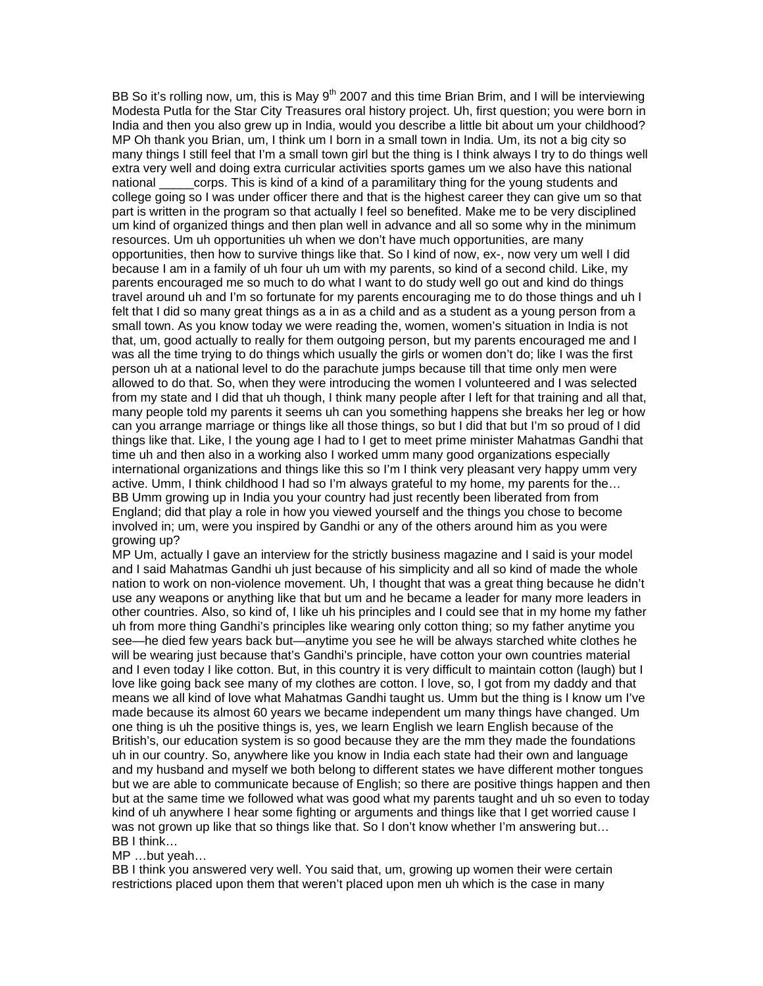BB So it's rolling now, um, this is May  $9<sup>th</sup>$  2007 and this time Brian Brim, and I will be interviewing Modesta Putla for the Star City Treasures oral history project. Uh, first question; you were born in India and then you also grew up in India, would you describe a little bit about um your childhood? MP Oh thank you Brian, um, I think um I born in a small town in India. Um, its not a big city so many things I still feel that I'm a small town girl but the thing is I think always I try to do things well extra very well and doing extra curricular activities sports games um we also have this national national corps. This is kind of a kind of a paramilitary thing for the young students and college going so I was under officer there and that is the highest career they can give um so that part is written in the program so that actually I feel so benefited. Make me to be very disciplined um kind of organized things and then plan well in advance and all so some why in the minimum resources. Um uh opportunities uh when we don't have much opportunities, are many opportunities, then how to survive things like that. So I kind of now, ex-, now very um well I did because I am in a family of uh four uh um with my parents, so kind of a second child. Like, my parents encouraged me so much to do what I want to do study well go out and kind do things travel around uh and I'm so fortunate for my parents encouraging me to do those things and uh I felt that I did so many great things as a in as a child and as a student as a young person from a small town. As you know today we were reading the, women, women's situation in India is not that, um, good actually to really for them outgoing person, but my parents encouraged me and I was all the time trying to do things which usually the girls or women don't do; like I was the first person uh at a national level to do the parachute jumps because till that time only men were allowed to do that. So, when they were introducing the women I volunteered and I was selected from my state and I did that uh though, I think many people after I left for that training and all that, many people told my parents it seems uh can you something happens she breaks her leg or how can you arrange marriage or things like all those things, so but I did that but I'm so proud of I did things like that. Like, I the young age I had to I get to meet prime minister Mahatmas Gandhi that time uh and then also in a working also I worked umm many good organizations especially international organizations and things like this so I'm I think very pleasant very happy umm very active. Umm, I think childhood I had so I'm always grateful to my home, my parents for the… BB Umm growing up in India you your country had just recently been liberated from from England; did that play a role in how you viewed yourself and the things you chose to become involved in; um, were you inspired by Gandhi or any of the others around him as you were growing up?

MP Um, actually I gave an interview for the strictly business magazine and I said is your model and I said Mahatmas Gandhi uh just because of his simplicity and all so kind of made the whole nation to work on non-violence movement. Uh, I thought that was a great thing because he didn't use any weapons or anything like that but um and he became a leader for many more leaders in other countries. Also, so kind of, I like uh his principles and I could see that in my home my father uh from more thing Gandhi's principles like wearing only cotton thing; so my father anytime you see—he died few years back but—anytime you see he will be always starched white clothes he will be wearing just because that's Gandhi's principle, have cotton your own countries material and I even today I like cotton. But, in this country it is very difficult to maintain cotton (laugh) but I love like going back see many of my clothes are cotton. I love, so, I got from my daddy and that means we all kind of love what Mahatmas Gandhi taught us. Umm but the thing is I know um I've made because its almost 60 years we became independent um many things have changed. Um one thing is uh the positive things is, yes, we learn English we learn English because of the British's, our education system is so good because they are the mm they made the foundations uh in our country. So, anywhere like you know in India each state had their own and language and my husband and myself we both belong to different states we have different mother tongues but we are able to communicate because of English; so there are positive things happen and then but at the same time we followed what was good what my parents taught and uh so even to today kind of uh anywhere I hear some fighting or arguments and things like that I get worried cause I was not grown up like that so things like that. So I don't know whether I'm answering but... BB I think…

## MP …but yeah…

BB I think you answered very well. You said that, um, growing up women their were certain restrictions placed upon them that weren't placed upon men uh which is the case in many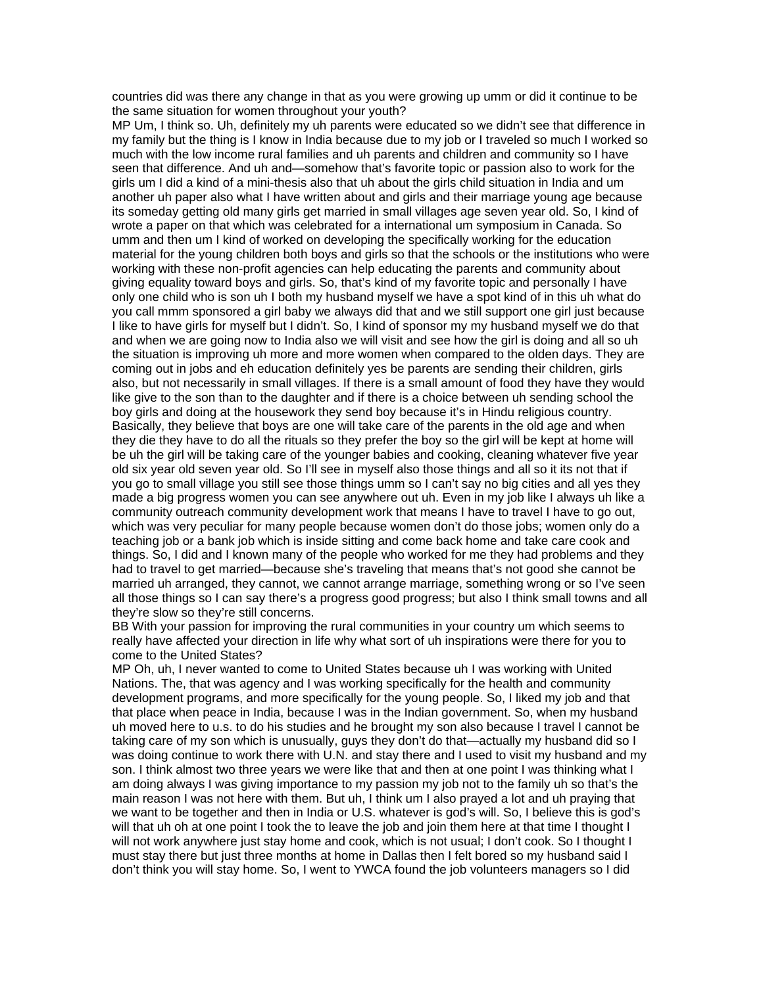countries did was there any change in that as you were growing up umm or did it continue to be the same situation for women throughout your youth?

MP Um, I think so. Uh, definitely my uh parents were educated so we didn't see that difference in my family but the thing is I know in India because due to my job or I traveled so much I worked so much with the low income rural families and uh parents and children and community so I have seen that difference. And uh and—somehow that's favorite topic or passion also to work for the girls um I did a kind of a mini-thesis also that uh about the girls child situation in India and um another uh paper also what I have written about and girls and their marriage young age because its someday getting old many girls get married in small villages age seven year old. So, I kind of wrote a paper on that which was celebrated for a international um symposium in Canada. So umm and then um I kind of worked on developing the specifically working for the education material for the young children both boys and girls so that the schools or the institutions who were working with these non-profit agencies can help educating the parents and community about giving equality toward boys and girls. So, that's kind of my favorite topic and personally I have only one child who is son uh I both my husband myself we have a spot kind of in this uh what do you call mmm sponsored a girl baby we always did that and we still support one girl just because I like to have girls for myself but I didn't. So, I kind of sponsor my my husband myself we do that and when we are going now to India also we will visit and see how the girl is doing and all so uh the situation is improving uh more and more women when compared to the olden days. They are coming out in jobs and eh education definitely yes be parents are sending their children, girls also, but not necessarily in small villages. If there is a small amount of food they have they would like give to the son than to the daughter and if there is a choice between uh sending school the boy girls and doing at the housework they send boy because it's in Hindu religious country. Basically, they believe that boys are one will take care of the parents in the old age and when they die they have to do all the rituals so they prefer the boy so the girl will be kept at home will be uh the girl will be taking care of the younger babies and cooking, cleaning whatever five year old six year old seven year old. So I'll see in myself also those things and all so it its not that if you go to small village you still see those things umm so I can't say no big cities and all yes they made a big progress women you can see anywhere out uh. Even in my job like I always uh like a community outreach community development work that means I have to travel I have to go out, which was very peculiar for many people because women don't do those jobs; women only do a teaching job or a bank job which is inside sitting and come back home and take care cook and things. So, I did and I known many of the people who worked for me they had problems and they had to travel to get married—because she's traveling that means that's not good she cannot be married uh arranged, they cannot, we cannot arrange marriage, something wrong or so I've seen all those things so I can say there's a progress good progress; but also I think small towns and all they're slow so they're still concerns.

BB With your passion for improving the rural communities in your country um which seems to really have affected your direction in life why what sort of uh inspirations were there for you to come to the United States?

MP Oh, uh, I never wanted to come to United States because uh I was working with United Nations. The, that was agency and I was working specifically for the health and community development programs, and more specifically for the young people. So, I liked my job and that that place when peace in India, because I was in the Indian government. So, when my husband uh moved here to u.s. to do his studies and he brought my son also because I travel I cannot be taking care of my son which is unusually, guys they don't do that—actually my husband did so I was doing continue to work there with U.N. and stay there and I used to visit my husband and my son. I think almost two three years we were like that and then at one point I was thinking what I am doing always I was giving importance to my passion my job not to the family uh so that's the main reason I was not here with them. But uh, I think um I also prayed a lot and uh praying that we want to be together and then in India or U.S. whatever is god's will. So, I believe this is god's will that uh oh at one point I took the to leave the job and join them here at that time I thought I will not work anywhere just stay home and cook, which is not usual; I don't cook. So I thought I must stay there but just three months at home in Dallas then I felt bored so my husband said I don't think you will stay home. So, I went to YWCA found the job volunteers managers so I did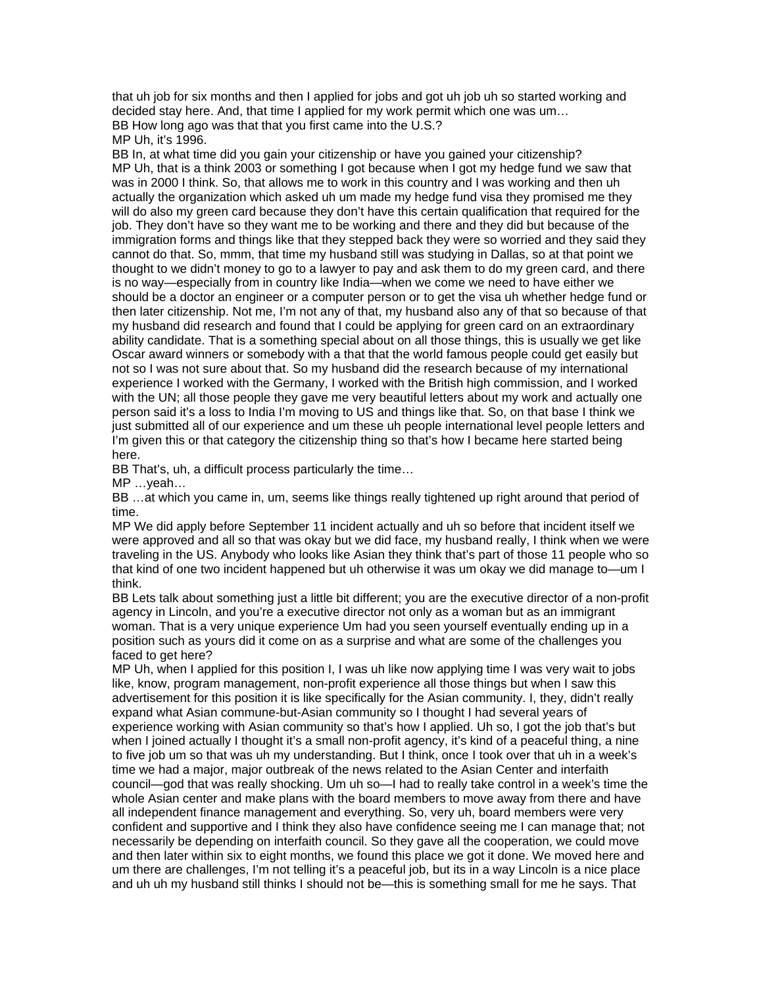that uh job for six months and then I applied for jobs and got uh job uh so started working and decided stay here. And, that time I applied for my work permit which one was um… BB How long ago was that that you first came into the U.S.? MP Uh, it's 1996.

BB In, at what time did you gain your citizenship or have you gained your citizenship? MP Uh, that is a think 2003 or something I got because when I got my hedge fund we saw that was in 2000 I think. So, that allows me to work in this country and I was working and then uh actually the organization which asked uh um made my hedge fund visa they promised me they will do also my green card because they don't have this certain qualification that required for the job. They don't have so they want me to be working and there and they did but because of the immigration forms and things like that they stepped back they were so worried and they said they cannot do that. So, mmm, that time my husband still was studying in Dallas, so at that point we thought to we didn't money to go to a lawyer to pay and ask them to do my green card, and there is no way—especially from in country like India—when we come we need to have either we should be a doctor an engineer or a computer person or to get the visa uh whether hedge fund or then later citizenship. Not me, I'm not any of that, my husband also any of that so because of that my husband did research and found that I could be applying for green card on an extraordinary ability candidate. That is a something special about on all those things, this is usually we get like Oscar award winners or somebody with a that that the world famous people could get easily but not so I was not sure about that. So my husband did the research because of my international experience I worked with the Germany, I worked with the British high commission, and I worked with the UN; all those people they gave me very beautiful letters about my work and actually one person said it's a loss to India I'm moving to US and things like that. So, on that base I think we just submitted all of our experience and um these uh people international level people letters and I'm given this or that category the citizenship thing so that's how I became here started being here.

BB That's, uh, a difficult process particularly the time…

MP …yeah…

BB …at which you came in, um, seems like things really tightened up right around that period of time.

MP We did apply before September 11 incident actually and uh so before that incident itself we were approved and all so that was okay but we did face, my husband really, I think when we were traveling in the US. Anybody who looks like Asian they think that's part of those 11 people who so that kind of one two incident happened but uh otherwise it was um okay we did manage to—um I think.

BB Lets talk about something just a little bit different; you are the executive director of a non-profit agency in Lincoln, and you're a executive director not only as a woman but as an immigrant woman. That is a very unique experience Um had you seen yourself eventually ending up in a position such as yours did it come on as a surprise and what are some of the challenges you faced to get here?

MP Uh, when I applied for this position I, I was uh like now applying time I was very wait to jobs like, know, program management, non-profit experience all those things but when I saw this advertisement for this position it is like specifically for the Asian community. I, they, didn't really expand what Asian commune-but-Asian community so I thought I had several years of experience working with Asian community so that's how I applied. Uh so, I got the job that's but when I joined actually I thought it's a small non-profit agency, it's kind of a peaceful thing, a nine to five job um so that was uh my understanding. But I think, once I took over that uh in a week's time we had a major, major outbreak of the news related to the Asian Center and interfaith council—god that was really shocking. Um uh so—I had to really take control in a week's time the whole Asian center and make plans with the board members to move away from there and have all independent finance management and everything. So, very uh, board members were very confident and supportive and I think they also have confidence seeing me I can manage that; not necessarily be depending on interfaith council. So they gave all the cooperation, we could move and then later within six to eight months, we found this place we got it done. We moved here and um there are challenges, I'm not telling it's a peaceful job, but its in a way Lincoln is a nice place and uh uh my husband still thinks I should not be—this is something small for me he says. That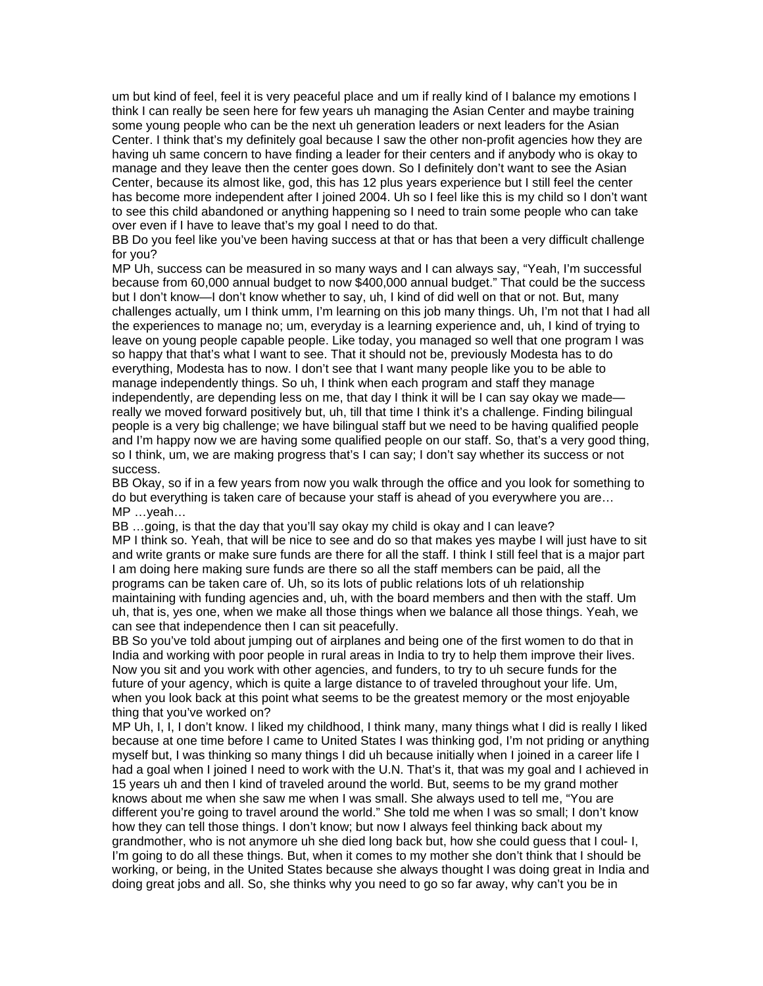um but kind of feel, feel it is very peaceful place and um if really kind of I balance my emotions I think I can really be seen here for few years uh managing the Asian Center and maybe training some young people who can be the next uh generation leaders or next leaders for the Asian Center. I think that's my definitely goal because I saw the other non-profit agencies how they are having uh same concern to have finding a leader for their centers and if anybody who is okay to manage and they leave then the center goes down. So I definitely don't want to see the Asian Center, because its almost like, god, this has 12 plus years experience but I still feel the center has become more independent after I joined 2004. Uh so I feel like this is my child so I don't want to see this child abandoned or anything happening so I need to train some people who can take over even if I have to leave that's my goal I need to do that.

BB Do you feel like you've been having success at that or has that been a very difficult challenge for you?

MP Uh, success can be measured in so many ways and I can always say, "Yeah, I'm successful because from 60,000 annual budget to now \$400,000 annual budget." That could be the success but I don't know—I don't know whether to say, uh, I kind of did well on that or not. But, many challenges actually, um I think umm, I'm learning on this job many things. Uh, I'm not that I had all the experiences to manage no; um, everyday is a learning experience and, uh, I kind of trying to leave on young people capable people. Like today, you managed so well that one program I was so happy that that's what I want to see. That it should not be, previously Modesta has to do everything, Modesta has to now. I don't see that I want many people like you to be able to manage independently things. So uh, I think when each program and staff they manage independently, are depending less on me, that day I think it will be I can say okay we made really we moved forward positively but, uh, till that time I think it's a challenge. Finding bilingual people is a very big challenge; we have bilingual staff but we need to be having qualified people and I'm happy now we are having some qualified people on our staff. So, that's a very good thing, so I think, um, we are making progress that's I can say; I don't say whether its success or not success.

BB Okay, so if in a few years from now you walk through the office and you look for something to do but everything is taken care of because your staff is ahead of you everywhere you are… MP …yeah…

BB …going, is that the day that you'll say okay my child is okay and I can leave?

MP I think so. Yeah, that will be nice to see and do so that makes yes maybe I will just have to sit and write grants or make sure funds are there for all the staff. I think I still feel that is a major part I am doing here making sure funds are there so all the staff members can be paid, all the programs can be taken care of. Uh, so its lots of public relations lots of uh relationship maintaining with funding agencies and, uh, with the board members and then with the staff. Um uh, that is, yes one, when we make all those things when we balance all those things. Yeah, we can see that independence then I can sit peacefully.

BB So you've told about jumping out of airplanes and being one of the first women to do that in India and working with poor people in rural areas in India to try to help them improve their lives. Now you sit and you work with other agencies, and funders, to try to uh secure funds for the future of your agency, which is quite a large distance to of traveled throughout your life. Um, when you look back at this point what seems to be the greatest memory or the most enjoyable thing that you've worked on?

MP Uh, I, I, I don't know. I liked my childhood, I think many, many things what I did is really I liked because at one time before I came to United States I was thinking god, I'm not priding or anything myself but, I was thinking so many things I did uh because initially when I joined in a career life I had a goal when I joined I need to work with the U.N. That's it, that was my goal and I achieved in 15 years uh and then I kind of traveled around the world. But, seems to be my grand mother knows about me when she saw me when I was small. She always used to tell me, "You are different you're going to travel around the world." She told me when I was so small; I don't know how they can tell those things. I don't know; but now I always feel thinking back about my grandmother, who is not anymore uh she died long back but, how she could guess that I coul- I, I'm going to do all these things. But, when it comes to my mother she don't think that I should be working, or being, in the United States because she always thought I was doing great in India and doing great jobs and all. So, she thinks why you need to go so far away, why can't you be in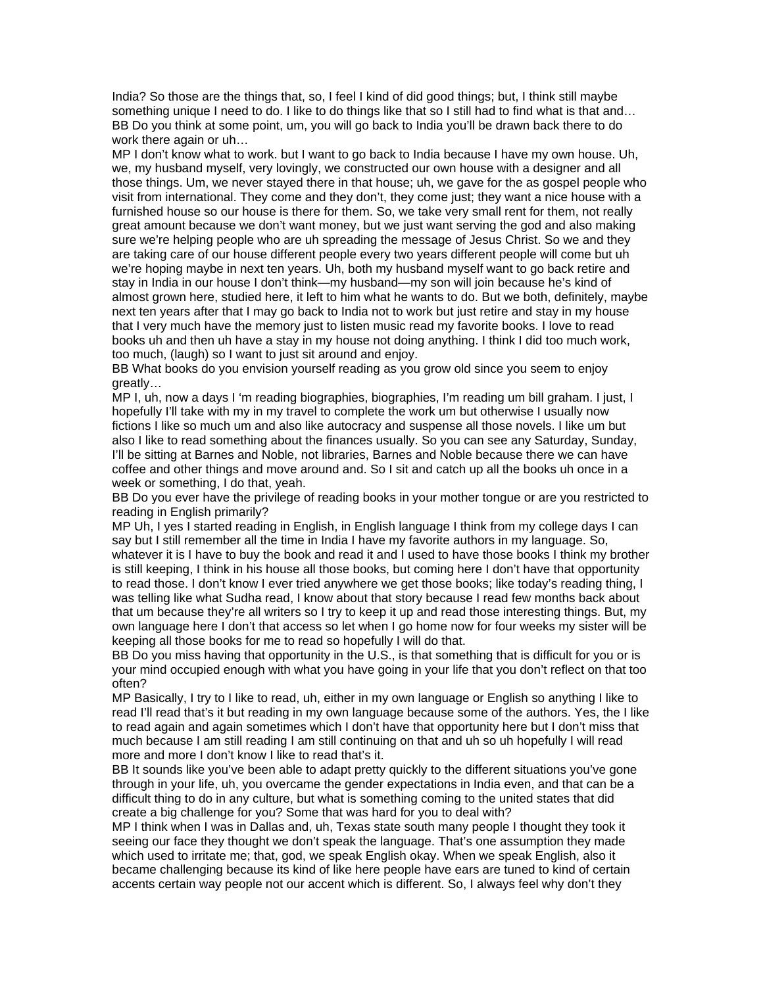India? So those are the things that, so, I feel I kind of did good things; but, I think still maybe something unique I need to do. I like to do things like that so I still had to find what is that and… BB Do you think at some point, um, you will go back to India you'll be drawn back there to do work there again or uh…

MP I don't know what to work. but I want to go back to India because I have my own house. Uh, we, my husband myself, very lovingly, we constructed our own house with a designer and all those things. Um, we never stayed there in that house; uh, we gave for the as gospel people who visit from international. They come and they don't, they come just; they want a nice house with a furnished house so our house is there for them. So, we take very small rent for them, not really great amount because we don't want money, but we just want serving the god and also making sure we're helping people who are uh spreading the message of Jesus Christ. So we and they are taking care of our house different people every two years different people will come but uh we're hoping maybe in next ten years. Uh, both my husband myself want to go back retire and stay in India in our house I don't think—my husband—my son will join because he's kind of almost grown here, studied here, it left to him what he wants to do. But we both, definitely, maybe next ten years after that I may go back to India not to work but just retire and stay in my house that I very much have the memory just to listen music read my favorite books. I love to read books uh and then uh have a stay in my house not doing anything. I think I did too much work, too much, (laugh) so I want to just sit around and enjoy.

BB What books do you envision yourself reading as you grow old since you seem to enjoy greatly…

MP I, uh, now a days I 'm reading biographies, biographies, I'm reading um bill graham. I just, I hopefully I'll take with my in my travel to complete the work um but otherwise I usually now fictions I like so much um and also like autocracy and suspense all those novels. I like um but also I like to read something about the finances usually. So you can see any Saturday, Sunday, I'll be sitting at Barnes and Noble, not libraries, Barnes and Noble because there we can have coffee and other things and move around and. So I sit and catch up all the books uh once in a week or something, I do that, yeah.

BB Do you ever have the privilege of reading books in your mother tongue or are you restricted to reading in English primarily?

MP Uh, I yes I started reading in English, in English language I think from my college days I can say but I still remember all the time in India I have my favorite authors in my language. So, whatever it is I have to buy the book and read it and I used to have those books I think my brother is still keeping, I think in his house all those books, but coming here I don't have that opportunity to read those. I don't know I ever tried anywhere we get those books; like today's reading thing, I was telling like what Sudha read, I know about that story because I read few months back about that um because they're all writers so I try to keep it up and read those interesting things. But, my own language here I don't that access so let when I go home now for four weeks my sister will be keeping all those books for me to read so hopefully I will do that.

BB Do you miss having that opportunity in the U.S., is that something that is difficult for you or is your mind occupied enough with what you have going in your life that you don't reflect on that too often?

MP Basically, I try to I like to read, uh, either in my own language or English so anything I like to read I'll read that's it but reading in my own language because some of the authors. Yes, the I like to read again and again sometimes which I don't have that opportunity here but I don't miss that much because I am still reading I am still continuing on that and uh so uh hopefully I will read more and more I don't know I like to read that's it.

BB It sounds like you've been able to adapt pretty quickly to the different situations you've gone through in your life, uh, you overcame the gender expectations in India even, and that can be a difficult thing to do in any culture, but what is something coming to the united states that did create a big challenge for you? Some that was hard for you to deal with?

MP I think when I was in Dallas and, uh, Texas state south many people I thought they took it seeing our face they thought we don't speak the language. That's one assumption they made which used to irritate me; that, god, we speak English okay. When we speak English, also it became challenging because its kind of like here people have ears are tuned to kind of certain accents certain way people not our accent which is different. So, I always feel why don't they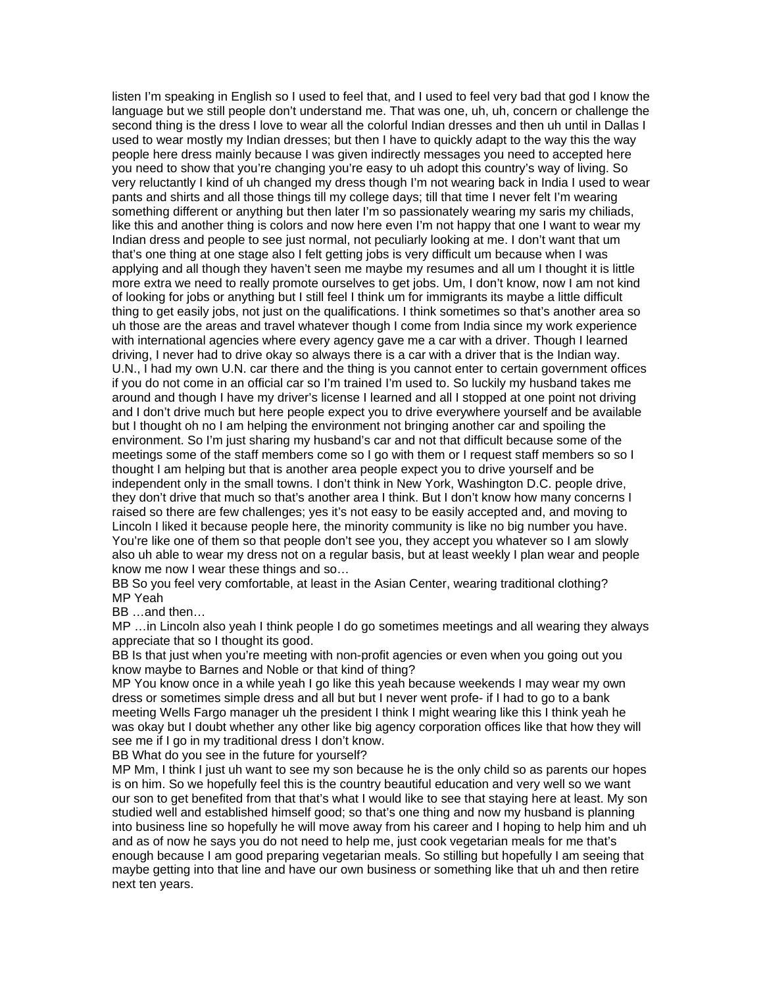listen I'm speaking in English so I used to feel that, and I used to feel very bad that god I know the language but we still people don't understand me. That was one, uh, uh, concern or challenge the second thing is the dress I love to wear all the colorful Indian dresses and then uh until in Dallas I used to wear mostly my Indian dresses; but then I have to quickly adapt to the way this the way people here dress mainly because I was given indirectly messages you need to accepted here you need to show that you're changing you're easy to uh adopt this country's way of living. So very reluctantly I kind of uh changed my dress though I'm not wearing back in India I used to wear pants and shirts and all those things till my college days; till that time I never felt I'm wearing something different or anything but then later I'm so passionately wearing my saris my chiliads, like this and another thing is colors and now here even I'm not happy that one I want to wear my Indian dress and people to see just normal, not peculiarly looking at me. I don't want that um that's one thing at one stage also I felt getting jobs is very difficult um because when I was applying and all though they haven't seen me maybe my resumes and all um I thought it is little more extra we need to really promote ourselves to get jobs. Um, I don't know, now I am not kind of looking for jobs or anything but I still feel I think um for immigrants its maybe a little difficult thing to get easily jobs, not just on the qualifications. I think sometimes so that's another area so uh those are the areas and travel whatever though I come from India since my work experience with international agencies where every agency gave me a car with a driver. Though I learned driving, I never had to drive okay so always there is a car with a driver that is the Indian way. U.N., I had my own U.N. car there and the thing is you cannot enter to certain government offices if you do not come in an official car so I'm trained I'm used to. So luckily my husband takes me around and though I have my driver's license I learned and all I stopped at one point not driving and I don't drive much but here people expect you to drive everywhere yourself and be available but I thought oh no I am helping the environment not bringing another car and spoiling the environment. So I'm just sharing my husband's car and not that difficult because some of the meetings some of the staff members come so I go with them or I request staff members so so I thought I am helping but that is another area people expect you to drive yourself and be independent only in the small towns. I don't think in New York, Washington D.C. people drive, they don't drive that much so that's another area I think. But I don't know how many concerns I raised so there are few challenges; yes it's not easy to be easily accepted and, and moving to Lincoln I liked it because people here, the minority community is like no big number you have. You're like one of them so that people don't see you, they accept you whatever so I am slowly also uh able to wear my dress not on a regular basis, but at least weekly I plan wear and people know me now I wear these things and so…

BB So you feel very comfortable, at least in the Asian Center, wearing traditional clothing? MP Yeah

BB …and then…

MP …in Lincoln also yeah I think people I do go sometimes meetings and all wearing they always appreciate that so I thought its good.

BB Is that just when you're meeting with non-profit agencies or even when you going out you know maybe to Barnes and Noble or that kind of thing?

MP You know once in a while yeah I go like this yeah because weekends I may wear my own dress or sometimes simple dress and all but but I never went profe- if I had to go to a bank meeting Wells Fargo manager uh the president I think I might wearing like this I think yeah he was okay but I doubt whether any other like big agency corporation offices like that how they will see me if I go in my traditional dress I don't know.

BB What do you see in the future for yourself?

MP Mm, I think I just uh want to see my son because he is the only child so as parents our hopes is on him. So we hopefully feel this is the country beautiful education and very well so we want our son to get benefited from that that's what I would like to see that staying here at least. My son studied well and established himself good; so that's one thing and now my husband is planning into business line so hopefully he will move away from his career and I hoping to help him and uh and as of now he says you do not need to help me, just cook vegetarian meals for me that's enough because I am good preparing vegetarian meals. So stilling but hopefully I am seeing that maybe getting into that line and have our own business or something like that uh and then retire next ten years.